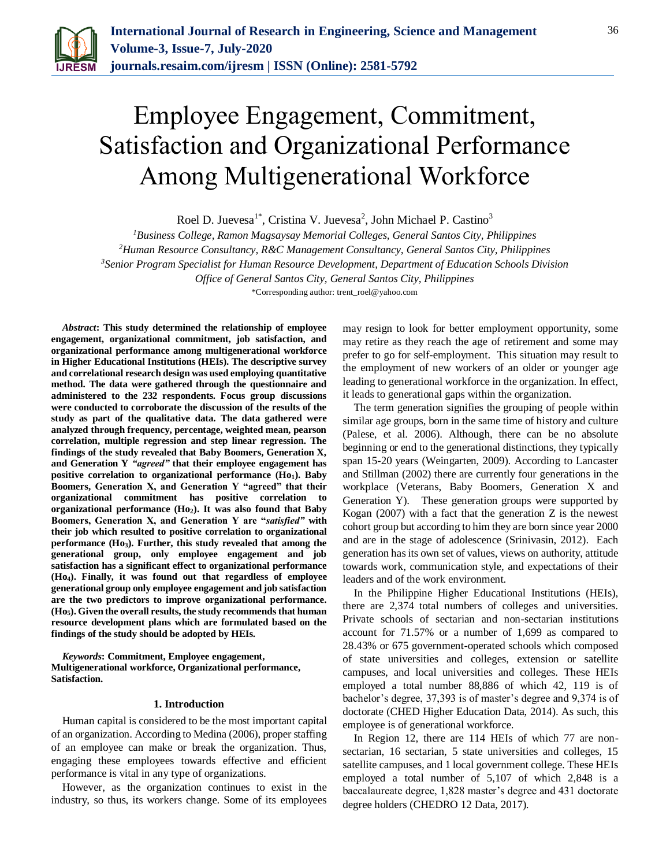

# Employee Engagement, Commitment, Satisfaction and Organizational Performance Among Multigenerational Workforce

Roel D. Juevesa<sup>1\*</sup>, Cristina V. Juevesa<sup>2</sup>, John Michael P. Castino<sup>3</sup>

*<sup>1</sup>Business College, Ramon Magsaysay Memorial Colleges, General Santos City, Philippines*

*<sup>2</sup>Human Resource Consultancy, R&C Management Consultancy, General Santos City, Philippines*

*<sup>3</sup>Senior Program Specialist for Human Resource Development, Department of Education Schools Division* 

*Office of General Santos City, General Santos City, Philippines*

\*Corresponding author: trent\_roel@yahoo.com

*Abstract***: This study determined the relationship of employee engagement, organizational commitment, job satisfaction, and organizational performance among multigenerational workforce in Higher Educational Institutions (HEIs). The descriptive survey and correlational research design was used employing quantitative method. The data were gathered through the questionnaire and administered to the 232 respondents. Focus group discussions were conducted to corroborate the discussion of the results of the study as part of the qualitative data. The data gathered were analyzed through frequency, percentage, weighted mean, pearson correlation, multiple regression and step linear regression. The findings of the study revealed that Baby Boomers, Generation X, and Generation Y** *"agreed"* **that their employee engagement has positive correlation to organizational performance (Ho1). Baby Boomers, Generation X, and Generation Y "agreed" that their organizational commitment has positive correlation to organizational performance (Ho2). It was also found that Baby Boomers, Generation X, and Generation Y are "***satisfied"* **with their job which resulted to positive correlation to organizational performance (Ho3). Further, this study revealed that among the generational group, only employee engagement and job satisfaction has a significant effect to organizational performance (Ho4). Finally, it was found out that regardless of employee generational group only employee engagement and job satisfaction are the two predictors to improve organizational performance. (Ho5). Given the overall results, the study recommends that human resource development plans which are formulated based on the findings of the study should be adopted by HEIs.**

*Keywords***: Commitment, Employee engagement, Multigenerational workforce, Organizational performance, Satisfaction.**

#### **1. Introduction**

Human capital is considered to be the most important capital of an organization. According to Medina (2006), proper staffing of an employee can make or break the organization. Thus, engaging these employees towards effective and efficient performance is vital in any type of organizations.

However, as the organization continues to exist in the industry, so thus, its workers change. Some of its employees

may resign to look for better employment opportunity, some may retire as they reach the age of retirement and some may prefer to go for self-employment. This situation may result to the employment of new workers of an older or younger age leading to generational workforce in the organization. In effect, it leads to generational gaps within the organization.

The term generation signifies the grouping of people within similar age groups, born in the same time of history and culture (Palese, et al. 2006). Although, there can be no absolute beginning or end to the generational distinctions, they typically span 15-20 years (Weingarten, 2009). According to Lancaster and Stillman (2002) there are currently four generations in the workplace (Veterans, Baby Boomers, Generation X and Generation Y). These generation groups were supported by Kogan (2007) with a fact that the generation Z is the newest cohort group but according to him they are born since year 2000 and are in the stage of adolescence (Srinivasin, 2012). Each generation has its own set of values, views on authority, attitude towards work, communication style, and expectations of their leaders and of the work environment.

In the Philippine Higher Educational Institutions (HEIs), there are 2,374 total numbers of colleges and universities. Private schools of sectarian and non-sectarian institutions account for 71.57% or a number of 1,699 as compared to 28.43% or 675 government-operated schools which composed of state universities and colleges, extension or satellite campuses, and local universities and colleges. These HEIs employed a total number 88,886 of which 42, 119 is of bachelor's degree, 37,393 is of master's degree and 9,374 is of doctorate (CHED Higher Education Data, 2014). As such, this employee is of generational workforce.

In Region 12, there are 114 HEIs of which 77 are nonsectarian, 16 sectarian, 5 state universities and colleges, 15 satellite campuses, and 1 local government college. These HEIs employed a total number of 5,107 of which 2,848 is a baccalaureate degree, 1,828 master's degree and 431 doctorate degree holders (CHEDRO 12 Data, 2017).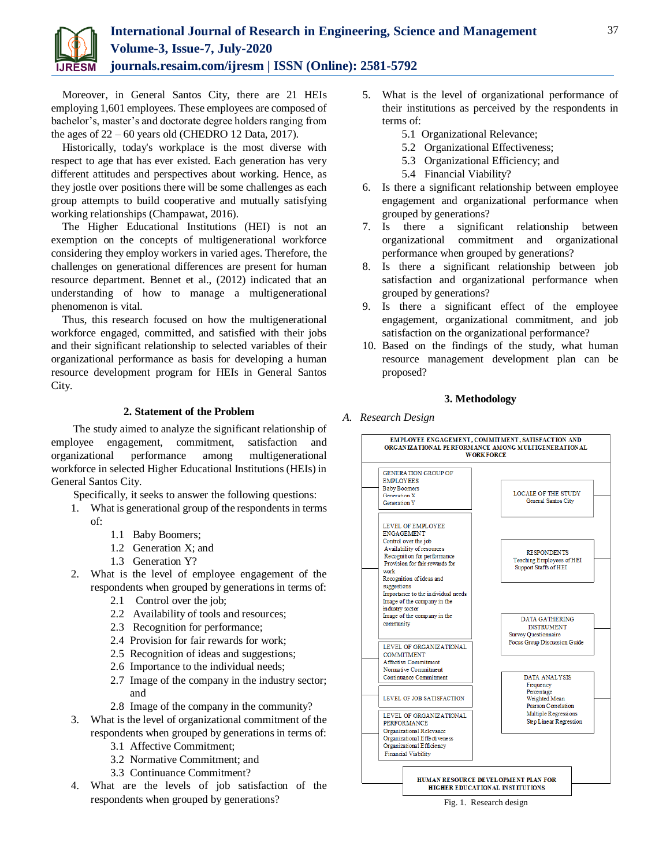

Moreover, in General Santos City, there are 21 HEIs employing 1,601 employees. These employees are composed of bachelor's, master's and doctorate degree holders ranging from the ages of  $22 - 60$  years old (CHEDRO 12 Data, 2017).

Historically, today's workplace is the most diverse with respect to age that has ever existed. Each generation has very different attitudes and perspectives about working. Hence, as they jostle over positions there will be some challenges as each group attempts to build cooperative and mutually satisfying working relationships (Champawat, 2016).

The Higher Educational Institutions (HEI) is not an exemption on the concepts of multigenerational workforce considering they employ workers in varied ages. Therefore, the challenges on generational differences are present for human resource department. Bennet et al., (2012) indicated that an understanding of how to manage a multigenerational phenomenon is vital.

Thus, this research focused on how the multigenerational workforce engaged, committed, and satisfied with their jobs and their significant relationship to selected variables of their organizational performance as basis for developing a human resource development program for HEIs in General Santos City.

## **2. Statement of the Problem**

The study aimed to analyze the significant relationship of employee engagement, commitment, satisfaction and organizational performance among multigenerational workforce in selected Higher Educational Institutions (HEIs) in General Santos City.

Specifically, it seeks to answer the following questions:

- 1. What is generational group of the respondents in terms of:
	- 1.1 Baby Boomers;
	- 1.2 Generation X; and
	- 1.3 Generation Y?
- 2. What is the level of employee engagement of the respondents when grouped by generations in terms of:
	- 2.1 Control over the job;
	- 2.2 Availability of tools and resources;
	- 2.3 Recognition for performance;
	- 2.4 Provision for fair rewards for work;
	- 2.5 Recognition of ideas and suggestions;
	- 2.6 Importance to the individual needs;
	- 2.7 Image of the company in the industry sector; and
	- 2.8 Image of the company in the community?
- 3. What is the level of organizational commitment of the respondents when grouped by generations in terms of:
	- 3.1 Affective Commitment;
	- 3.2 Normative Commitment; and
	- 3.3 Continuance Commitment?
- 4. What are the levels of job satisfaction of the respondents when grouped by generations?
- 5. What is the level of organizational performance of their institutions as perceived by the respondents in terms of:
	- 5.1 Organizational Relevance;
	- 5.2 Organizational Effectiveness;
	- 5.3 Organizational Efficiency; and
	- 5.4 Financial Viability?
- 6. Is there a significant relationship between employee engagement and organizational performance when grouped by generations?
- 7. Is there a significant relationship between organizational commitment and organizational performance when grouped by generations?
- 8. Is there a significant relationship between job satisfaction and organizational performance when grouped by generations?
- 9. Is there a significant effect of the employee engagement, organizational commitment, and job satisfaction on the organizational performance?
- 10. Based on the findings of the study, what human resource management development plan can be proposed?

## **3. Methodology**

## *A. Research Design*



37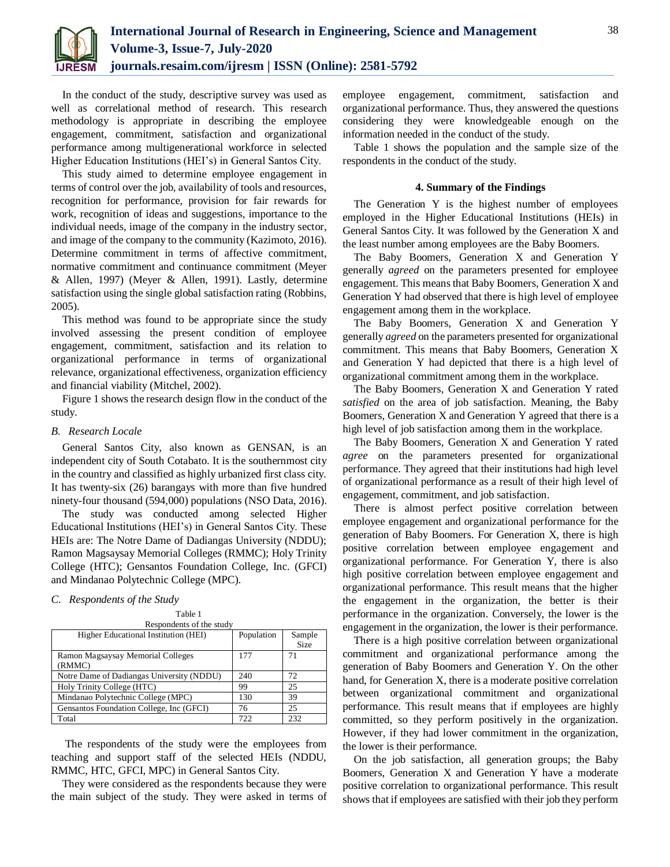

In the conduct of the study, descriptive survey was used as well as correlational method of research. This research methodology is appropriate in describing the employee engagement, commitment, satisfaction and organizational performance among multigenerational workforce in selected Higher Education Institutions (HEI's) in General Santos City.

This study aimed to determine employee engagement in terms of control over the job, availability of tools and resources, recognition for performance, provision for fair rewards for work, recognition of ideas and suggestions, importance to the individual needs, image of the company in the industry sector, and image of the company to the community (Kazimoto, 2016). Determine commitment in terms of affective commitment, normative commitment and continuance commitment (Meyer & Allen, 1997) (Meyer & Allen, 1991). Lastly, determine satisfaction using the single global satisfaction rating (Robbins, 2005).

This method was found to be appropriate since the study involved assessing the present condition of employee engagement, commitment, satisfaction and its relation to organizational performance in terms of organizational relevance, organizational effectiveness, organization efficiency and financial viability (Mitchel, 2002).

Figure 1 shows the research design flow in the conduct of the study.

#### *B. Research Locale*

General Santos City, also known as GENSAN, is an independent city of South Cotabato. It is the southernmost city in the country and classified as highly urbanized first class city. It has twenty-six (26) barangays with more than five hundred ninety-four thousand (594,000) populations (NSO Data, 2016).

The study was conducted among selected Higher Educational Institutions (HEI's) in General Santos City. These HEIs are: The Notre Dame of Dadiangas University (NDDU); Ramon Magsaysay Memorial Colleges (RMMC); Holy Trinity College (HTC); Gensantos Foundation College, Inc. (GFCI) and Mindanao Polytechnic College (MPC).

#### *C. Respondents of the Study*

| Table 1<br>Respondents of the study         |            |                       |
|---------------------------------------------|------------|-----------------------|
| Higher Educational Institution (HEI)        | Population | Sample<br><b>Size</b> |
| Ramon Magsaysay Memorial Colleges<br>(RMMC) | 177        | 71                    |
| Notre Dame of Dadiangas University (NDDU)   | 240        | 72                    |
| Holy Trinity College (HTC)                  | 99         | 25                    |
| Mindanao Polytechnic College (MPC)          | 130        | 39                    |
| Gensantos Foundation College, Inc (GFCI)    | 76         | 25                    |
| Total                                       | 722        | 232                   |

The respondents of the study were the employees from teaching and support staff of the selected HEIs (NDDU, RMMC, HTC, GFCI, MPC) in General Santos City.

They were considered as the respondents because they were the main subject of the study. They were asked in terms of employee engagement, commitment, satisfaction and organizational performance. Thus, they answered the questions considering they were knowledgeable enough on the information needed in the conduct of the study.

Table 1 shows the population and the sample size of the respondents in the conduct of the study.

#### **4. Summary of the Findings**

The Generation Y is the highest number of employees employed in the Higher Educational Institutions (HEIs) in General Santos City. It was followed by the Generation X and the least number among employees are the Baby Boomers.

The Baby Boomers, Generation X and Generation Y generally *agreed* on the parameters presented for employee engagement. This means that Baby Boomers, Generation X and Generation Y had observed that there is high level of employee engagement among them in the workplace.

The Baby Boomers, Generation X and Generation Y generally *agreed* on the parameters presented for organizational commitment. This means that Baby Boomers, Generation X and Generation Y had depicted that there is a high level of organizational commitment among them in the workplace.

The Baby Boomers, Generation X and Generation Y rated *satisfied* on the area of job satisfaction. Meaning, the Baby Boomers, Generation X and Generation Y agreed that there is a high level of job satisfaction among them in the workplace.

The Baby Boomers, Generation X and Generation Y rated *agree* on the parameters presented for organizational performance. They agreed that their institutions had high level of organizational performance as a result of their high level of engagement, commitment, and job satisfaction.

There is almost perfect positive correlation between employee engagement and organizational performance for the generation of Baby Boomers. For Generation X, there is high positive correlation between employee engagement and organizational performance. For Generation Y, there is also high positive correlation between employee engagement and organizational performance. This result means that the higher the engagement in the organization, the better is their performance in the organization. Conversely, the lower is the engagement in the organization, the lower is their performance.

There is a high positive correlation between organizational commitment and organizational performance among the generation of Baby Boomers and Generation Y. On the other hand, for Generation X, there is a moderate positive correlation between organizational commitment and organizational performance. This result means that if employees are highly committed, so they perform positively in the organization. However, if they had lower commitment in the organization, the lower is their performance.

On the job satisfaction, all generation groups; the Baby Boomers, Generation X and Generation Y have a moderate positive correlation to organizational performance. This result shows that if employees are satisfied with their job they perform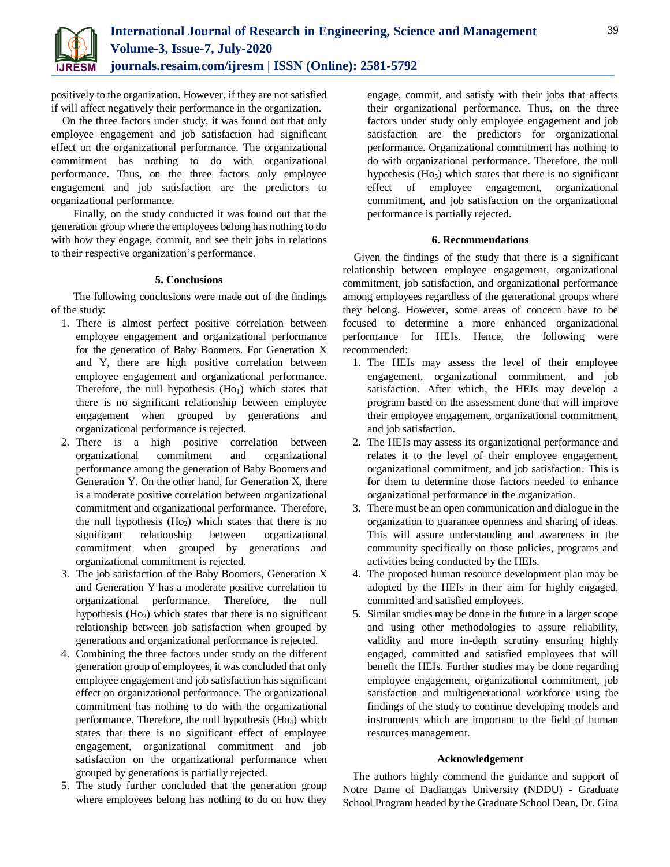

positively to the organization. However, if they are not satisfied if will affect negatively their performance in the organization.

On the three factors under study, it was found out that only employee engagement and job satisfaction had significant effect on the organizational performance. The organizational commitment has nothing to do with organizational performance. Thus, on the three factors only employee engagement and job satisfaction are the predictors to organizational performance.

Finally, on the study conducted it was found out that the generation group where the employees belong has nothing to do with how they engage, commit, and see their jobs in relations to their respective organization's performance.

## **5. Conclusions**

The following conclusions were made out of the findings of the study:

- 1. There is almost perfect positive correlation between employee engagement and organizational performance for the generation of Baby Boomers. For Generation X and Y, there are high positive correlation between employee engagement and organizational performance. Therefore, the null hypothesis  $(Ho<sub>1</sub>)$  which states that there is no significant relationship between employee engagement when grouped by generations and organizational performance is rejected.
- 2. There is a high positive correlation between organizational commitment and organizational performance among the generation of Baby Boomers and Generation Y. On the other hand, for Generation X, there is a moderate positive correlation between organizational commitment and organizational performance. Therefore, the null hypothesis  $(Ho<sub>2</sub>)$  which states that there is no significant relationship between organizational commitment when grouped by generations and organizational commitment is rejected.
- 3. The job satisfaction of the Baby Boomers, Generation X and Generation Y has a moderate positive correlation to organizational performance. Therefore, the null hypothesis  $(H<sub>03</sub>)$  which states that there is no significant relationship between job satisfaction when grouped by generations and organizational performance is rejected.
- 4. Combining the three factors under study on the different generation group of employees, it was concluded that only employee engagement and job satisfaction has significant effect on organizational performance. The organizational commitment has nothing to do with the organizational performance. Therefore, the null hypothesis  $(H<sub>04</sub>)$  which states that there is no significant effect of employee engagement, organizational commitment and job satisfaction on the organizational performance when grouped by generations is partially rejected.
- 5. The study further concluded that the generation group where employees belong has nothing to do on how they

engage, commit, and satisfy with their jobs that affects their organizational performance. Thus, on the three factors under study only employee engagement and job satisfaction are the predictors for organizational performance. Organizational commitment has nothing to do with organizational performance. Therefore, the null hypothesis (Ho<sub>5</sub>) which states that there is no significant effect of employee engagement, organizational commitment, and job satisfaction on the organizational performance is partially rejected.

## **6. Recommendations**

Given the findings of the study that there is a significant relationship between employee engagement, organizational commitment, job satisfaction, and organizational performance among employees regardless of the generational groups where they belong. However, some areas of concern have to be focused to determine a more enhanced organizational performance for HEIs. Hence, the following were recommended:

- 1. The HEIs may assess the level of their employee engagement, organizational commitment, and job satisfaction. After which, the HEIs may develop a program based on the assessment done that will improve their employee engagement, organizational commitment, and job satisfaction.
- 2. The HEIs may assess its organizational performance and relates it to the level of their employee engagement, organizational commitment, and job satisfaction. This is for them to determine those factors needed to enhance organizational performance in the organization.
- 3. There must be an open communication and dialogue in the organization to guarantee openness and sharing of ideas. This will assure understanding and awareness in the community specifically on those policies, programs and activities being conducted by the HEIs.
- 4. The proposed human resource development plan may be adopted by the HEIs in their aim for highly engaged, committed and satisfied employees.
- 5. Similar studies may be done in the future in a larger scope and using other methodologies to assure reliability, validity and more in-depth scrutiny ensuring highly engaged, committed and satisfied employees that will benefit the HEIs. Further studies may be done regarding employee engagement, organizational commitment, job satisfaction and multigenerational workforce using the findings of the study to continue developing models and instruments which are important to the field of human resources management.

## **Acknowledgement**

The authors highly commend the guidance and support of Notre Dame of Dadiangas University (NDDU) - Graduate School Program headed by the Graduate School Dean, Dr. Gina